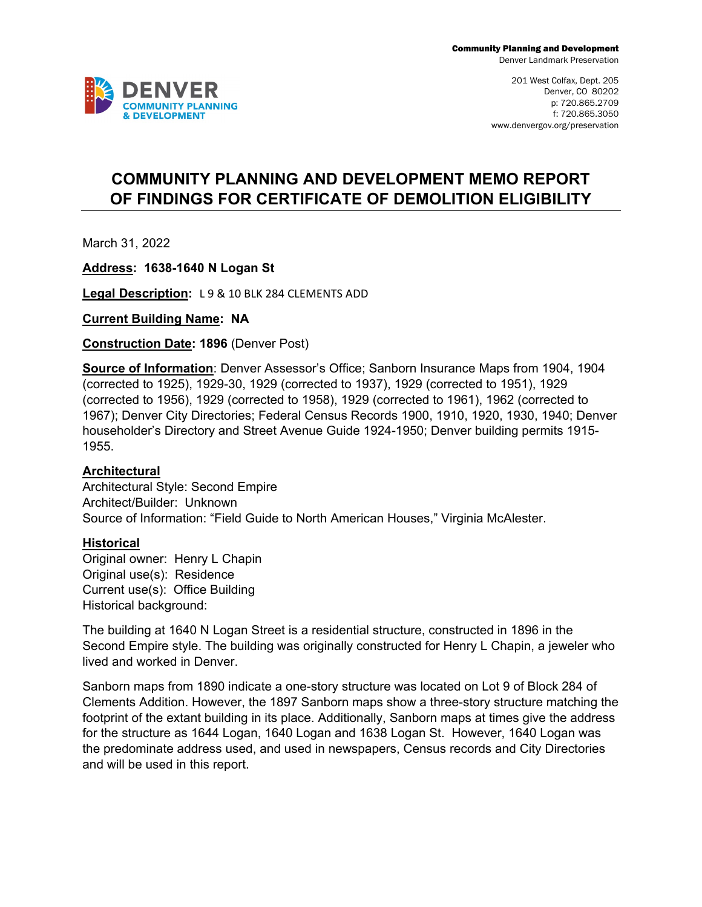

# **COMMUNITY PLANNING AND DEVELOPMENT MEMO REPORT OF FINDINGS FOR CERTIFICATE OF DEMOLITION ELIGIBILITY**

March 31, 2022

**Address: 1638-1640 N Logan St**

**Legal Description:** L 9 & 10 BLK 284 CLEMENTS ADD

**Current Building Name: NA**

**Construction Date: 1896** (Denver Post)

**Source of Information**: Denver Assessor's Office; Sanborn Insurance Maps from 1904, 1904 (corrected to 1925), 1929-30, 1929 (corrected to 1937), 1929 (corrected to 1951), 1929 (corrected to 1956), 1929 (corrected to 1958), 1929 (corrected to 1961), 1962 (corrected to 1967); Denver City Directories; Federal Census Records 1900, 1910, 1920, 1930, 1940; Denver householder's Directory and Street Avenue Guide 1924-1950; Denver building permits 1915- 1955.

## **Architectural**

Architectural Style: Second Empire Architect/Builder: Unknown Source of Information: "Field Guide to North American Houses," Virginia McAlester.

#### **Historical**

Original owner: Henry L Chapin Original use(s): Residence Current use(s): Office Building Historical background:

The building at 1640 N Logan Street is a residential structure, constructed in 1896 in the Second Empire style. The building was originally constructed for Henry L Chapin, a jeweler who lived and worked in Denver.

Sanborn maps from 1890 indicate a one-story structure was located on Lot 9 of Block 284 of Clements Addition. However, the 1897 Sanborn maps show a three-story structure matching the footprint of the extant building in its place. Additionally, Sanborn maps at times give the address for the structure as 1644 Logan, 1640 Logan and 1638 Logan St. However, 1640 Logan was the predominate address used, and used in newspapers, Census records and City Directories and will be used in this report.

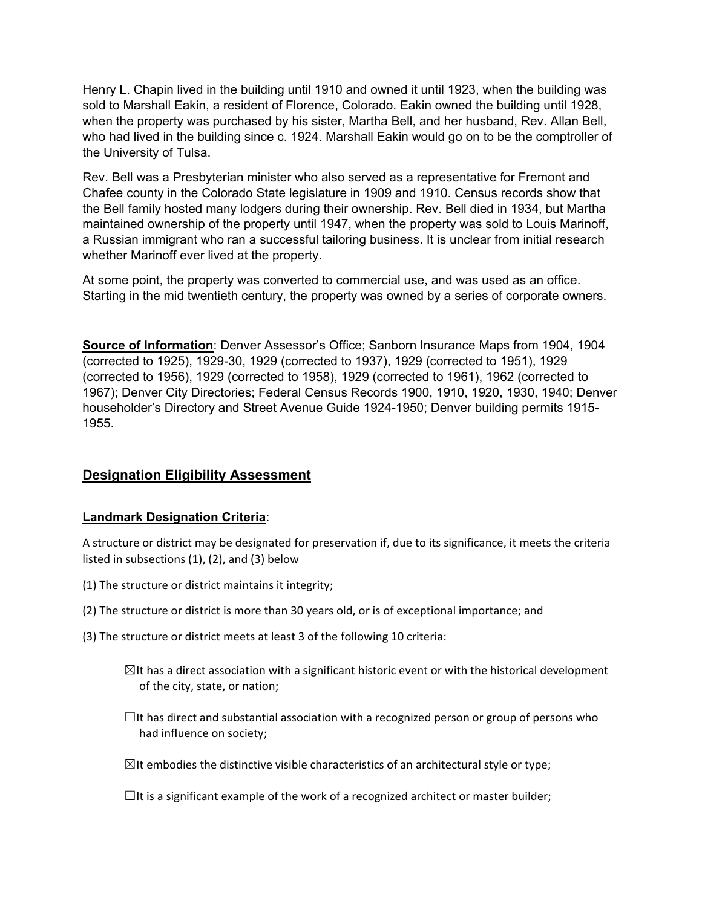Henry L. Chapin lived in the building until 1910 and owned it until 1923, when the building was sold to Marshall Eakin, a resident of Florence, Colorado. Eakin owned the building until 1928, when the property was purchased by his sister, Martha Bell, and her husband, Rev. Allan Bell, who had lived in the building since c. 1924. Marshall Eakin would go on to be the comptroller of the University of Tulsa.

Rev. Bell was a Presbyterian minister who also served as a representative for Fremont and Chafee county in the Colorado State legislature in 1909 and 1910. Census records show that the Bell family hosted many lodgers during their ownership. Rev. Bell died in 1934, but Martha maintained ownership of the property until 1947, when the property was sold to Louis Marinoff, a Russian immigrant who ran a successful tailoring business. It is unclear from initial research whether Marinoff ever lived at the property.

At some point, the property was converted to commercial use, and was used as an office. Starting in the mid twentieth century, the property was owned by a series of corporate owners.

**Source of Information**: Denver Assessor's Office; Sanborn Insurance Maps from 1904, 1904 (corrected to 1925), 1929-30, 1929 (corrected to 1937), 1929 (corrected to 1951), 1929 (corrected to 1956), 1929 (corrected to 1958), 1929 (corrected to 1961), 1962 (corrected to 1967); Denver City Directories; Federal Census Records 1900, 1910, 1920, 1930, 1940; Denver householder's Directory and Street Avenue Guide 1924-1950; Denver building permits 1915- 1955.

# **Designation Eligibility Assessment**

## **Landmark Designation Criteria**:

A structure or district may be designated for preservation if, due to its significance, it meets the criteria listed in subsections (1), (2), and (3) below

- (1) The structure or district maintains it integrity;
- (2) The structure or district is more than 30 years old, or is of exceptional importance; and
- (3) The structure or district meets at least 3 of the following 10 criteria:
	- $\boxtimes$ It has a direct association with a significant historic event or with the historical development of the city, state, or nation;
	- $\Box$ It has direct and substantial association with a recognized person or group of persons who had influence on society;
	- $\boxtimes$ It embodies the distinctive visible characteristics of an architectural style or type;

 $\Box$ It is a significant example of the work of a recognized architect or master builder;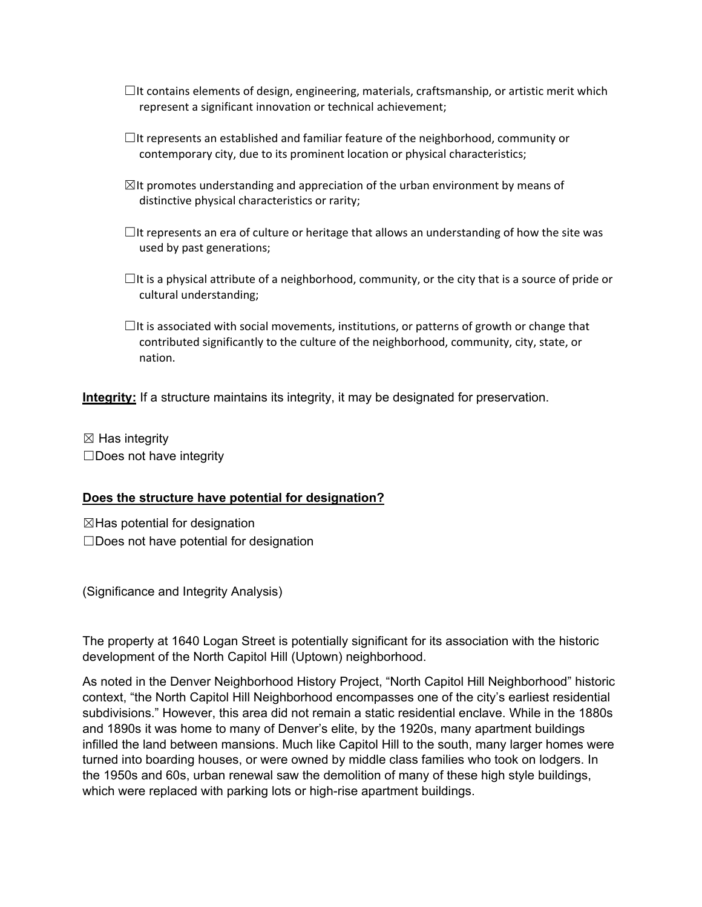- $\Box$ It contains elements of design, engineering, materials, craftsmanship, or artistic merit which represent a significant innovation or technical achievement;
- $\Box$ It represents an established and familiar feature of the neighborhood, community or contemporary city, due to its prominent location or physical characteristics;
- $\boxtimes$ It promotes understanding and appreciation of the urban environment by means of distinctive physical characteristics or rarity;
- $\Box$ It represents an era of culture or heritage that allows an understanding of how the site was used by past generations;
- $\Box$ It is a physical attribute of a neighborhood, community, or the city that is a source of pride or cultural understanding;
- $\Box$ It is associated with social movements, institutions, or patterns of growth or change that contributed significantly to the culture of the neighborhood, community, city, state, or nation.

**Integrity:** If a structure maintains its integrity, it may be designated for preservation.

 $\boxtimes$  Has integrity  $\square$ Does not have integrity

### **Does the structure have potential for designation?**

 $\boxtimes$ Has potential for designation ☐Does not have potential for designation

(Significance and Integrity Analysis)

The property at 1640 Logan Street is potentially significant for its association with the historic development of the North Capitol Hill (Uptown) neighborhood.

As noted in the Denver Neighborhood History Project, "North Capitol Hill Neighborhood" historic context, "the North Capitol Hill Neighborhood encompasses one of the city's earliest residential subdivisions." However, this area did not remain a static residential enclave. While in the 1880s and 1890s it was home to many of Denver's elite, by the 1920s, many apartment buildings infilled the land between mansions. Much like Capitol Hill to the south, many larger homes were turned into boarding houses, or were owned by middle class families who took on lodgers. In the 1950s and 60s, urban renewal saw the demolition of many of these high style buildings, which were replaced with parking lots or high-rise apartment buildings.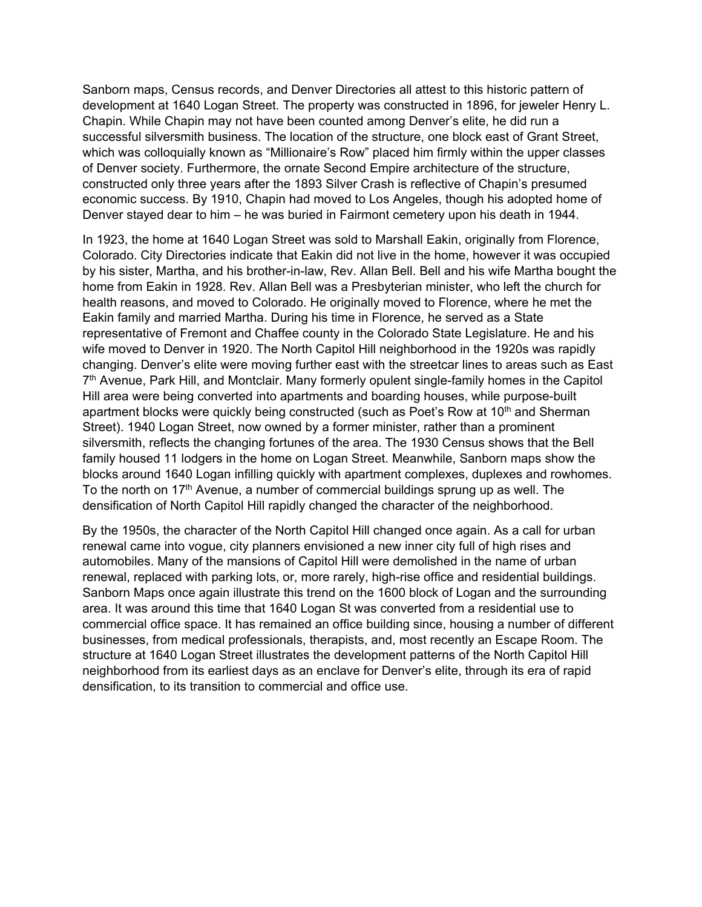Sanborn maps, Census records, and Denver Directories all attest to this historic pattern of development at 1640 Logan Street. The property was constructed in 1896, for jeweler Henry L. Chapin. While Chapin may not have been counted among Denver's elite, he did run a successful silversmith business. The location of the structure, one block east of Grant Street, which was colloquially known as "Millionaire's Row" placed him firmly within the upper classes of Denver society. Furthermore, the ornate Second Empire architecture of the structure, constructed only three years after the 1893 Silver Crash is reflective of Chapin's presumed economic success. By 1910, Chapin had moved to Los Angeles, though his adopted home of Denver stayed dear to him – he was buried in Fairmont cemetery upon his death in 1944.

In 1923, the home at 1640 Logan Street was sold to Marshall Eakin, originally from Florence, Colorado. City Directories indicate that Eakin did not live in the home, however it was occupied by his sister, Martha, and his brother-in-law, Rev. Allan Bell. Bell and his wife Martha bought the home from Eakin in 1928. Rev. Allan Bell was a Presbyterian minister, who left the church for health reasons, and moved to Colorado. He originally moved to Florence, where he met the Eakin family and married Martha. During his time in Florence, he served as a State representative of Fremont and Chaffee county in the Colorado State Legislature. He and his wife moved to Denver in 1920. The North Capitol Hill neighborhood in the 1920s was rapidly changing. Denver's elite were moving further east with the streetcar lines to areas such as East 7<sup>th</sup> Avenue, Park Hill, and Montclair. Many formerly opulent single-family homes in the Capitol Hill area were being converted into apartments and boarding houses, while purpose-built apartment blocks were quickly being constructed (such as Poet's Row at 10<sup>th</sup> and Sherman Street). 1940 Logan Street, now owned by a former minister, rather than a prominent silversmith, reflects the changing fortunes of the area. The 1930 Census shows that the Bell family housed 11 lodgers in the home on Logan Street. Meanwhile, Sanborn maps show the blocks around 1640 Logan infilling quickly with apartment complexes, duplexes and rowhomes. To the north on 17<sup>th</sup> Avenue, a number of commercial buildings sprung up as well. The densification of North Capitol Hill rapidly changed the character of the neighborhood.

By the 1950s, the character of the North Capitol Hill changed once again. As a call for urban renewal came into vogue, city planners envisioned a new inner city full of high rises and automobiles. Many of the mansions of Capitol Hill were demolished in the name of urban renewal, replaced with parking lots, or, more rarely, high-rise office and residential buildings. Sanborn Maps once again illustrate this trend on the 1600 block of Logan and the surrounding area. It was around this time that 1640 Logan St was converted from a residential use to commercial office space. It has remained an office building since, housing a number of different businesses, from medical professionals, therapists, and, most recently an Escape Room. The structure at 1640 Logan Street illustrates the development patterns of the North Capitol Hill neighborhood from its earliest days as an enclave for Denver's elite, through its era of rapid densification, to its transition to commercial and office use.